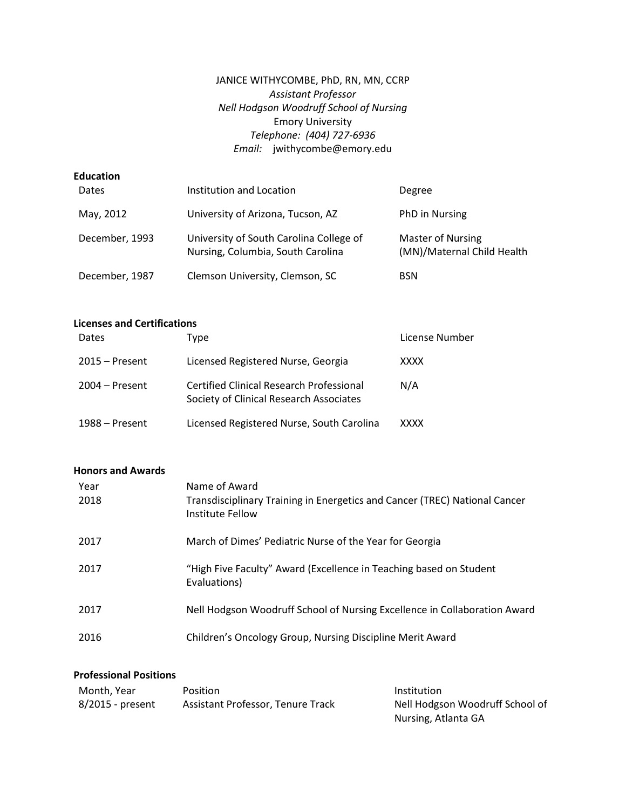# JANICE WITHYCOMBE, PhD, RN, MN, CCRP *Assistant Professor Nell Hodgson Woodruff School of Nursing* Emory University *Telephone: (404) 727-6936 Email:* jwithycombe@emory.edu

## **Education**

| <b>Dates</b>   | Institution and Location                                                     | Degree                                                 |
|----------------|------------------------------------------------------------------------------|--------------------------------------------------------|
| May, 2012      | University of Arizona, Tucson, AZ                                            | PhD in Nursing                                         |
| December, 1993 | University of South Carolina College of<br>Nursing, Columbia, South Carolina | <b>Master of Nursing</b><br>(MN)/Maternal Child Health |
| December, 1987 | Clemson University, Clemson, SC                                              | <b>BSN</b>                                             |

# **Licenses and Certifications**

| Dates            | Type                                                                                       | License Number |
|------------------|--------------------------------------------------------------------------------------------|----------------|
| $2015 -$ Present | Licensed Registered Nurse, Georgia                                                         | XXXX           |
| $2004 -$ Present | <b>Certified Clinical Research Professional</b><br>Society of Clinical Research Associates | N/A            |
| 1988 – Present   | Licensed Registered Nurse, South Carolina                                                  | XXXX           |

### **Honors and Awards**

| Year<br>2018 | Name of Award<br>Transdisciplinary Training in Energetics and Cancer (TREC) National Cancer<br>Institute Fellow |
|--------------|-----------------------------------------------------------------------------------------------------------------|
| 2017         | March of Dimes' Pediatric Nurse of the Year for Georgia                                                         |
| 2017         | "High Five Faculty" Award (Excellence in Teaching based on Student<br>Evaluations)                              |
| 2017         | Nell Hodgson Woodruff School of Nursing Excellence in Collaboration Award                                       |
| 2016         | Children's Oncology Group, Nursing Discipline Merit Award                                                       |

## **Professional Positions**

| Month. Year      | <b>Position</b>                   | Institution                     |
|------------------|-----------------------------------|---------------------------------|
| 8/2015 - present | Assistant Professor, Tenure Track | Nell Hodgson Woodruff School of |
|                  |                                   | Nursing, Atlanta GA             |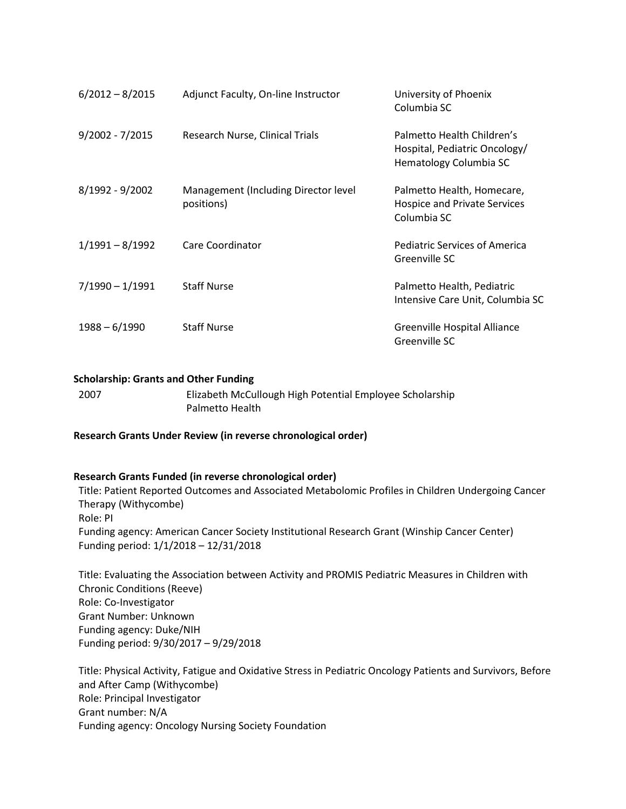| $6/2012 - 8/2015$ | Adjunct Faculty, On-line Instructor                | University of Phoenix<br>Columbia SC                                                  |
|-------------------|----------------------------------------------------|---------------------------------------------------------------------------------------|
| $9/2002 - 7/2015$ | Research Nurse, Clinical Trials                    | Palmetto Health Children's<br>Hospital, Pediatric Oncology/<br>Hematology Columbia SC |
| 8/1992 - 9/2002   | Management (Including Director level<br>positions) | Palmetto Health, Homecare,<br>Hospice and Private Services<br>Columbia SC             |
| $1/1991 - 8/1992$ | Care Coordinator                                   | Pediatric Services of America<br>Greenville SC                                        |
| $7/1990 - 1/1991$ | <b>Staff Nurse</b>                                 | Palmetto Health, Pediatric<br>Intensive Care Unit, Columbia SC                        |
| $1988 - 6/1990$   | <b>Staff Nurse</b>                                 | Greenville Hospital Alliance<br>Greenville SC                                         |

### **Scholarship: Grants and Other Funding**

2007 Elizabeth McCullough High Potential Employee Scholarship Palmetto Health

**Research Grants Under Review (in reverse chronological order)**

#### **Research Grants Funded (in reverse chronological order)**

Title: Patient Reported Outcomes and Associated Metabolomic Profiles in Children Undergoing Cancer Therapy (Withycombe) Role: PI Funding agency: American Cancer Society Institutional Research Grant (Winship Cancer Center) Funding period: 1/1/2018 – 12/31/2018

Title: Evaluating the Association between Activity and PROMIS Pediatric Measures in Children with Chronic Conditions (Reeve) Role: Co-Investigator Grant Number: Unknown Funding agency: Duke/NIH Funding period: 9/30/2017 – 9/29/2018

Title: Physical Activity, Fatigue and Oxidative Stress in Pediatric Oncology Patients and Survivors, Before and After Camp (Withycombe) Role: Principal Investigator Grant number: N/A Funding agency: Oncology Nursing Society Foundation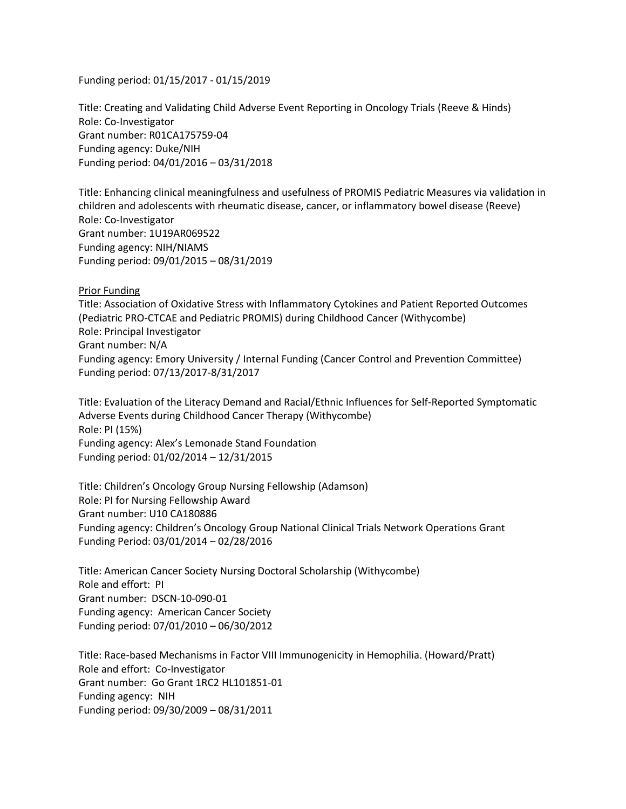Funding period: 01/15/2017 - 01/15/2019

Title: Creating and Validating Child Adverse Event Reporting in Oncology Trials (Reeve & Hinds) Role: Co-Investigator Grant number: R01CA175759-04 Funding agency: Duke/NIH Funding period: 04/01/2016 – 03/31/2018

Title: Enhancing clinical meaningfulness and usefulness of PROMIS Pediatric Measures via validation in children and adolescents with rheumatic disease, cancer, or inflammatory bowel disease (Reeve) Role: Co-Investigator Grant number: 1U19AR069522 Funding agency: NIH/NIAMS Funding period: 09/01/2015 – 08/31/2019

Prior Funding Title: Association of Oxidative Stress with Inflammatory Cytokines and Patient Reported Outcomes (Pediatric PRO-CTCAE and Pediatric PROMIS) during Childhood Cancer (Withycombe) Role: Principal Investigator Grant number: N/A Funding agency: Emory University / Internal Funding (Cancer Control and Prevention Committee) Funding period: 07/13/2017-8/31/2017

Title: Evaluation of the Literacy Demand and Racial/Ethnic Influences for Self-Reported Symptomatic Adverse Events during Childhood Cancer Therapy (Withycombe) Role: PI (15%) Funding agency: Alex's Lemonade Stand Foundation Funding period: 01/02/2014 – 12/31/2015

Title: Children's Oncology Group Nursing Fellowship (Adamson) Role: PI for Nursing Fellowship Award Grant number: U10 CA180886 Funding agency: Children's Oncology Group National Clinical Trials Network Operations Grant Funding Period: 03/01/2014 – 02/28/2016

Title: American Cancer Society Nursing Doctoral Scholarship (Withycombe) Role and effort: PI Grant number: DSCN-10-090-01 Funding agency: American Cancer Society Funding period: 07/01/2010 – 06/30/2012

Title: Race-based Mechanisms in Factor VIII Immunogenicity in Hemophilia. (Howard/Pratt) Role and effort: Co-Investigator Grant number: Go Grant 1RC2 HL101851-01 Funding agency: NIH Funding period: 09/30/2009 – 08/31/2011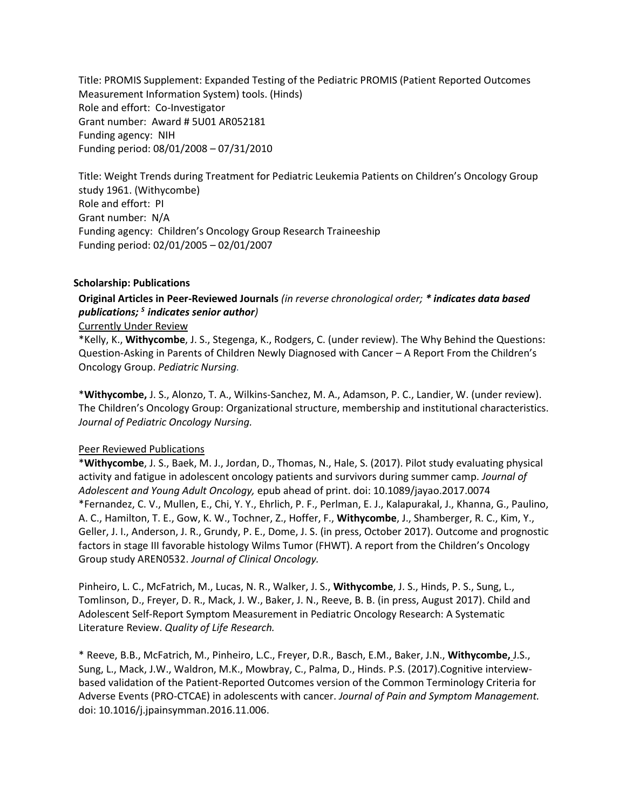Title: PROMIS Supplement: Expanded Testing of the Pediatric PROMIS (Patient Reported Outcomes Measurement Information System) tools. (Hinds) Role and effort: Co-Investigator Grant number: Award # 5U01 AR052181 Funding agency: NIH Funding period: 08/01/2008 – 07/31/2010

Title: Weight Trends during Treatment for Pediatric Leukemia Patients on Children's Oncology Group study 1961. (Withycombe) Role and effort: PI Grant number: N/A Funding agency: Children's Oncology Group Research Traineeship Funding period: 02/01/2005 – 02/01/2007

### **Scholarship: Publications**

# **Original Articles in Peer-Reviewed Journals** *(in reverse chronological order; \* indicates data based publications; <sup>S</sup>indicates senior author)*

#### Currently Under Review

\*Kelly, K., **Withycombe**, J. S., Stegenga, K., Rodgers, C. (under review). The Why Behind the Questions: Question-Asking in Parents of Children Newly Diagnosed with Cancer – A Report From the Children's Oncology Group. *Pediatric Nursing.*

\***Withycombe,** J. S., Alonzo, T. A., Wilkins-Sanchez, M. A., Adamson, P. C., Landier, W. (under review). The Children's Oncology Group: Organizational structure, membership and institutional characteristics. *Journal of Pediatric Oncology Nursing.*

### Peer Reviewed Publications

\***Withycombe**, J. S., Baek, M. J., Jordan, D., Thomas, N., Hale, S. (2017). Pilot study evaluating physical activity and fatigue in adolescent oncology patients and survivors during summer camp. *Journal of Adolescent and Young Adult Oncology,* epub ahead of print. doi: 10.1089/jayao.2017.0074 \*Fernandez, C. V., Mullen, E., Chi, Y. Y., Ehrlich, P. F., Perlman, E. J., Kalapurakal, J., Khanna, G., Paulino, A. C., Hamilton, T. E., Gow, K. W., Tochner, Z., Hoffer, F., **Withycombe**, J., Shamberger, R. C., Kim, Y., Geller, J. I., Anderson, J. R., Grundy, P. E., Dome, J. S. (in press, October 2017). Outcome and prognostic factors in stage III favorable histology Wilms Tumor (FHWT). A report from the Children's Oncology Group study AREN0532. *Journal of Clinical Oncology.*

Pinheiro, L. C., McFatrich, M., Lucas, N. R., Walker, J. S., **Withycombe**, J. S., Hinds, P. S., Sung, L., Tomlinson, D., Freyer, D. R., Mack, J. W., Baker, J. N., Reeve, B. B. (in press, August 2017). Child and Adolescent Self-Report Symptom Measurement in Pediatric Oncology Research: A Systematic Literature Review. *Quality of Life Research.*

\* Reeve, B.B., McFatrich, M., Pinheiro, L.C., Freyer, D.R., Basch, E.M., Baker, J.N., **Withycombe,** J.S., Sung, L., Mack, J.W., Waldron, M.K., Mowbray, C., Palma, D., Hinds. P.S. (2017).Cognitive interviewbased validation of the Patient-Reported Outcomes version of the Common Terminology Criteria for Adverse Events (PRO-CTCAE) in adolescents with cancer. *Journal of Pain and Symptom Management.* doi: 10.1016/j.jpainsymman.2016.11.006.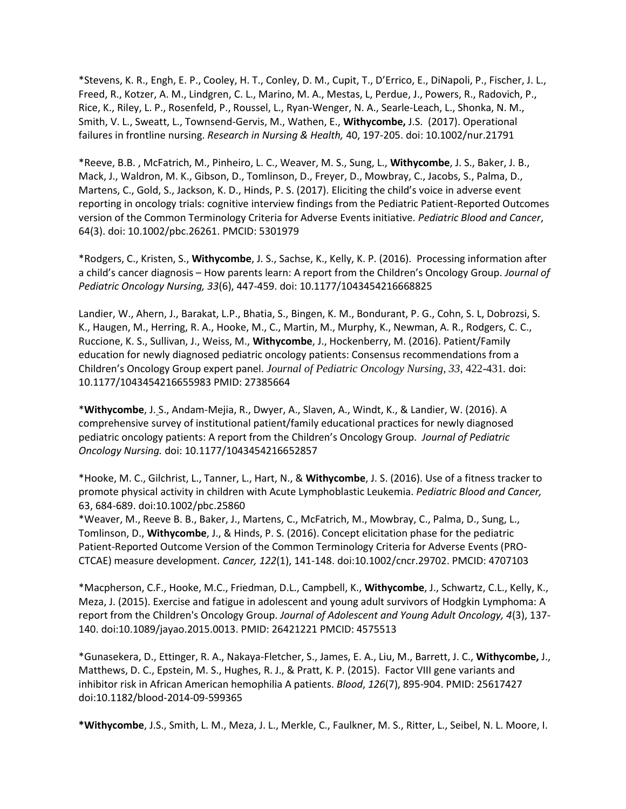\*Stevens, K. R., Engh, E. P., Cooley, H. T., Conley, D. M., Cupit, T., D'Errico, E., DiNapoli, P., Fischer, J. L., Freed, R., Kotzer, A. M., Lindgren, C. L., Marino, M. A., Mestas, L, Perdue, J., Powers, R., Radovich, P., Rice, K., Riley, L. P., Rosenfeld, P., Roussel, L., Ryan-Wenger, N. A., Searle-Leach, L., Shonka, N. M., Smith, V. L., Sweatt, L., Townsend-Gervis, M., Wathen, E., **Withycombe,** J.S. (2017). Operational failures in frontline nursing. *Research in Nursing & Health,* 40, 197-205. doi: 10.1002/nur.21791

\*Reeve, B.B. , McFatrich, M., Pinheiro, L. C., Weaver, M. S., Sung, L., **Withycombe**, J. S., Baker, J. B., Mack, J., Waldron, M. K., Gibson, D., Tomlinson, D., Freyer, D., Mowbray, C., Jacobs, S., Palma, D., Martens, C., Gold, S., Jackson, K. D., Hinds, P. S. (2017). Eliciting the child's voice in adverse event reporting in oncology trials: cognitive interview findings from the Pediatric Patient-Reported Outcomes version of the Common Terminology Criteria for Adverse Events initiative. *Pediatric Blood and Cancer*, 64(3). doi: 10.1002/pbc.26261. PMCID: 5301979

\*Rodgers, C., Kristen, S., **Withycombe**, J. S., Sachse, K., Kelly, K. P. (2016). Processing information after a child's cancer diagnosis – How parents learn: A report from the Children's Oncology Group. *Journal of Pediatric Oncology Nursing, 33*(6), 447-459. doi: 10.1177/1043454216668825

Landier, W., Ahern, J., Barakat, L.P., Bhatia, S., Bingen, K. M., Bondurant, P. G., Cohn, S. L, Dobrozsi, S. K., Haugen, M., Herring, R. A., Hooke, M., C., Martin, M., Murphy, K., Newman, A. R., Rodgers, C. C., Ruccione, K. S., Sullivan, J., Weiss, M., **Withycombe**, J., Hockenberry, M. (2016). Patient/Family education for newly diagnosed pediatric oncology patients: Consensus recommendations from a Children's Oncology Group expert panel. *Journal of Pediatric Oncology Nursing, 33,* 422-431*.* doi: 10.1177/1043454216655983 PMID: 27385664

\***Withycombe**, J. S., Andam-Mejia, R., Dwyer, A., Slaven, A., Windt, K., & Landier, W. (2016). A comprehensive survey of institutional patient/family educational practices for newly diagnosed pediatric oncology patients: A report from the Children's Oncology Group. *Journal of Pediatric Oncology Nursing.* doi: 10.1177/1043454216652857

\*Hooke, M. C., Gilchrist, L., Tanner, L., Hart, N., & **Withycombe**, J. S. (2016). Use of a fitness tracker to promote physical activity in children with Acute Lymphoblastic Leukemia. *Pediatric Blood and Cancer,*  63, 684-689. doi:10.1002/pbc.25860

\*Weaver, M., Reeve B. B., Baker, J., Martens, C., McFatrich, M., Mowbray, C., Palma, D., Sung, L., Tomlinson, D., **Withycombe**, J., & Hinds, P. S. (2016). Concept elicitation phase for the pediatric Patient-Reported Outcome Version of the Common Terminology Criteria for Adverse Events (PRO-CTCAE) measure development. *Cancer, 122*(1), 141-148. doi:10.1002/cncr.29702. PMCID: 4707103

\*Macpherson, C.F., Hooke, M.C., Friedman, D.L., Campbell, K., **Withycombe**, J., Schwartz, C.L., Kelly, K., Meza, J. (2015). Exercise and fatigue in adolescent and young adult survivors of Hodgkin Lymphoma: A report from the Children's Oncology Group. *Journal of Adolescent and Young Adult Oncology, 4*(3), 137- 140. doi:10.1089/jayao.2015.0013. PMID: 26421221 PMCID: 4575513

\*Gunasekera, D., Ettinger, R. A., Nakaya-Fletcher, S., James, E. A., Liu, M., Barrett, J. C., **Withycombe,** J., Matthews, D. C., Epstein, M. S., Hughes, R. J., & Pratt, K. P. (2015). Factor VIII gene variants and inhibitor risk in African American hemophilia A patients. *Blood*, *126*(7), 895-904. PMID: 25617427 doi:10.1182/blood-2014-09-599365

**\*Withycombe**, J.S., Smith, L. M., Meza, J. L., Merkle, C., Faulkner, M. S., Ritter, L., Seibel, N. L. Moore, I.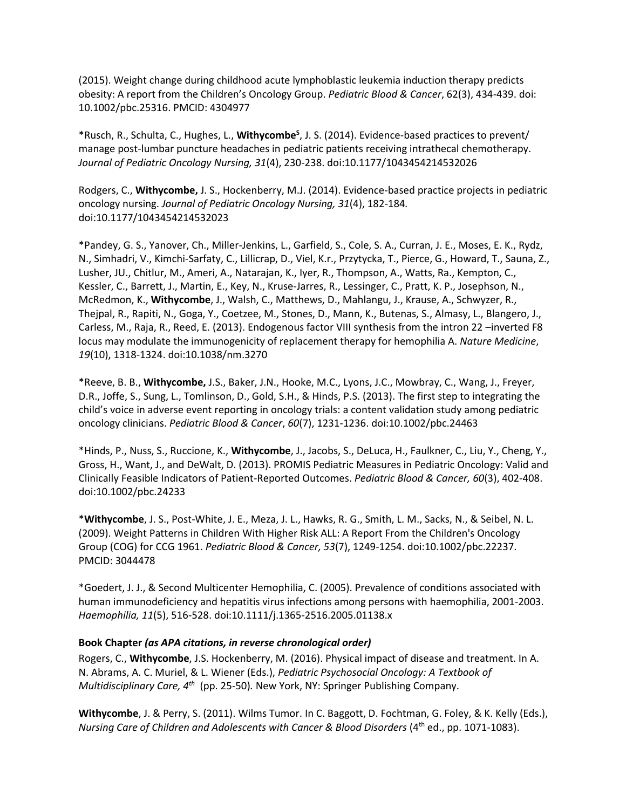(2015). Weight change during childhood acute lymphoblastic leukemia induction therapy predicts obesity: A report from the Children's Oncology Group. *Pediatric Blood & Cancer*, 62(3), 434-439. doi: 10.1002/pbc.25316. PMCID: 4304977

\*Rusch, R., Schulta, C., Hughes, L., **Withycombe<sup>S</sup>** , J. S. (2014). Evidence-based practices to prevent/ manage post-lumbar puncture headaches in pediatric patients receiving intrathecal chemotherapy. *Journal of Pediatric Oncology Nursing, 31*(4), 230-238. doi:10.1177/1043454214532026

Rodgers, C., **Withycombe,** J. S., Hockenberry, M.J. (2014). Evidence-based practice projects in pediatric oncology nursing. *Journal of Pediatric Oncology Nursing, 31*(4), 182-184*.*  doi:10.1177/1043454214532023

\*Pandey, G. S., Yanover, Ch., Miller-Jenkins, L., Garfield, S., Cole, S. A., Curran, J. E., Moses, E. K., Rydz, N., Simhadri, V., Kimchi-Sarfaty, C., Lillicrap, D., Viel, K.r., Przytycka, T., Pierce, G., Howard, T., Sauna, Z., Lusher, JU., Chitlur, M., Ameri, A., Natarajan, K., Iyer, R., Thompson, A., Watts, Ra., Kempton, C., Kessler, C., Barrett, J., Martin, E., Key, N., Kruse-Jarres, R., Lessinger, C., Pratt, K. P., Josephson, N., McRedmon, K., **Withycombe**, J., Walsh, C., Matthews, D., Mahlangu, J., Krause, A., Schwyzer, R., Thejpal, R., Rapiti, N., Goga, Y., Coetzee, M., Stones, D., Mann, K., Butenas, S., Almasy, L., Blangero, J., Carless, M., Raja, R., Reed, E. (2013). Endogenous factor VIII synthesis from the intron 22 –inverted F8 locus may modulate the immunogenicity of replacement therapy for hemophilia A. *Nature Medicine*, *19*(10), 1318-1324. doi:10.1038/nm.3270

\*Reeve, B. B., **Withycombe,** J.S., Baker, J.N., Hooke, M.C., Lyons, J.C., Mowbray, C., Wang, J., Freyer, D.R., Joffe, S., Sung, L., Tomlinson, D., Gold, S.H., & Hinds, P.S. (2013). The first step to integrating the child's voice in adverse event reporting in oncology trials: a content validation study among pediatric oncology clinicians. *Pediatric Blood & Cancer*, *60*(7), 1231-1236. doi:10.1002/pbc.24463

\*Hinds, P., Nuss, S., Ruccione, K., **Withycombe**, J., Jacobs, S., DeLuca, H., Faulkner, C., Liu, Y., Cheng, Y., Gross, H., Want, J., and DeWalt, D. (2013). PROMIS Pediatric Measures in Pediatric Oncology: Valid and Clinically Feasible Indicators of Patient-Reported Outcomes. *Pediatric Blood & Cancer, 60*(3), 402-408. doi:10.1002/pbc.24233

\***Withycombe**, J. S., Post-White, J. E., Meza, J. L., Hawks, R. G., Smith, L. M., Sacks, N., & Seibel, N. L. (2009). Weight Patterns in Children With Higher Risk ALL: A Report From the Children's Oncology Group (COG) for CCG 1961. *Pediatric Blood & Cancer, 53*(7), 1249-1254. doi:10.1002/pbc.22237. PMCID: 3044478

\*Goedert, J. J., & Second Multicenter Hemophilia, C. (2005). Prevalence of conditions associated with human immunodeficiency and hepatitis virus infections among persons with haemophilia, 2001-2003. *Haemophilia, 11*(5), 516-528. doi:10.1111/j.1365-2516.2005.01138.x

#### **Book Chapter** *(as APA citations, in reverse chronological order)*

Rogers, C., **Withycombe**, J.S. Hockenberry, M. (2016). Physical impact of disease and treatment. In A. N. Abrams, A. C. Muriel, & L. Wiener (Eds.), *Pediatric Psychosocial Oncology: A Textbook of Multidisciplinary Care, 4<sup>th</sup>* (pp. 25-50). New York, NY: Springer Publishing Company.

**Withycombe**, J. & Perry, S. (2011). Wilms Tumor. In C. Baggott, D. Fochtman, G. Foley, & K. Kelly (Eds.), Nursing Care of Children and Adolescents with Cancer & Blood Disorders (4<sup>th</sup> ed., pp. 1071-1083).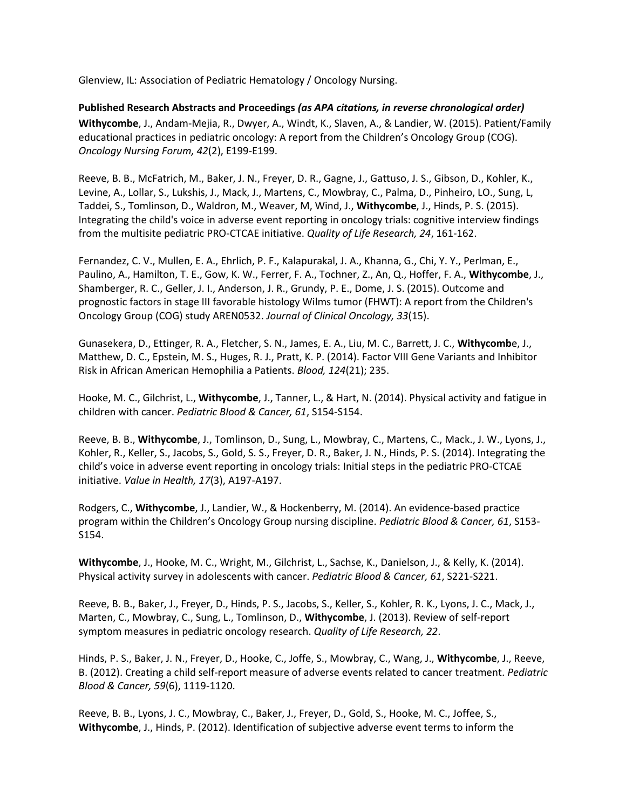Glenview, IL: Association of Pediatric Hematology / Oncology Nursing.

**Published Research Abstracts and Proceedings** *(as APA citations, in reverse chronological order)* **Withycombe**, J., Andam-Mejia, R., Dwyer, A., Windt, K., Slaven, A., & Landier, W. (2015). Patient/Family educational practices in pediatric oncology: A report from the Children's Oncology Group (COG). *Oncology Nursing Forum, 42*(2), E199-E199.

Reeve, B. B., McFatrich, M., Baker, J. N., Freyer, D. R., Gagne, J., Gattuso, J. S., Gibson, D., Kohler, K., Levine, A., Lollar, S., Lukshis, J., Mack, J., Martens, C., Mowbray, C., Palma, D., Pinheiro, LO., Sung, L, Taddei, S., Tomlinson, D., Waldron, M., Weaver, M, Wind, J., **Withycombe**, J., Hinds, P. S. (2015). Integrating the child's voice in adverse event reporting in oncology trials: cognitive interview findings from the multisite pediatric PRO-CTCAE initiative. *Quality of Life Research, 24*, 161-162.

Fernandez, C. V., Mullen, E. A., Ehrlich, P. F., Kalapurakal, J. A., Khanna, G., Chi, Y. Y., Perlman, E., Paulino, A., Hamilton, T. E., Gow, K. W., Ferrer, F. A., Tochner, Z., An, Q., Hoffer, F. A., **Withycombe**, J., Shamberger, R. C., Geller, J. I., Anderson, J. R., Grundy, P. E., Dome, J. S. (2015). Outcome and prognostic factors in stage III favorable histology Wilms tumor (FHWT): A report from the Children's Oncology Group (COG) study AREN0532. *Journal of Clinical Oncology, 33*(15).

Gunasekera, D., Ettinger, R. A., Fletcher, S. N., James, E. A., Liu, M. C., Barrett, J. C., **Withycomb**e, J., Matthew, D. C., Epstein, M. S., Huges, R. J., Pratt, K. P. (2014). Factor VIII Gene Variants and Inhibitor Risk in African American Hemophilia a Patients. *Blood, 124*(21); 235.

Hooke, M. C., Gilchrist, L., **Withycombe**, J., Tanner, L., & Hart, N. (2014). Physical activity and fatigue in children with cancer. *Pediatric Blood & Cancer, 61*, S154-S154.

Reeve, B. B., **Withycombe**, J., Tomlinson, D., Sung, L., Mowbray, C., Martens, C., Mack., J. W., Lyons, J., Kohler, R., Keller, S., Jacobs, S., Gold, S. S., Freyer, D. R., Baker, J. N., Hinds, P. S. (2014). Integrating the child's voice in adverse event reporting in oncology trials: Initial steps in the pediatric PRO-CTCAE initiative. *Value in Health, 17*(3), A197-A197.

Rodgers, C., **Withycombe**, J., Landier, W., & Hockenberry, M. (2014). An evidence-based practice program within the Children's Oncology Group nursing discipline. *Pediatric Blood & Cancer, 61*, S153- S154.

**Withycombe**, J., Hooke, M. C., Wright, M., Gilchrist, L., Sachse, K., Danielson, J., & Kelly, K. (2014). Physical activity survey in adolescents with cancer. *Pediatric Blood & Cancer, 61*, S221-S221.

Reeve, B. B., Baker, J., Freyer, D., Hinds, P. S., Jacobs, S., Keller, S., Kohler, R. K., Lyons, J. C., Mack, J., Marten, C., Mowbray, C., Sung, L., Tomlinson, D., **Withycombe**, J. (2013). Review of self-report symptom measures in pediatric oncology research. *Quality of Life Research, 22*.

Hinds, P. S., Baker, J. N., Freyer, D., Hooke, C., Joffe, S., Mowbray, C., Wang, J., **Withycombe**, J., Reeve, B. (2012). Creating a child self-report measure of adverse events related to cancer treatment. *Pediatric Blood & Cancer, 59*(6), 1119-1120.

Reeve, B. B., Lyons, J. C., Mowbray, C., Baker, J., Freyer, D., Gold, S., Hooke, M. C., Joffee, S., **Withycombe**, J., Hinds, P. (2012). Identification of subjective adverse event terms to inform the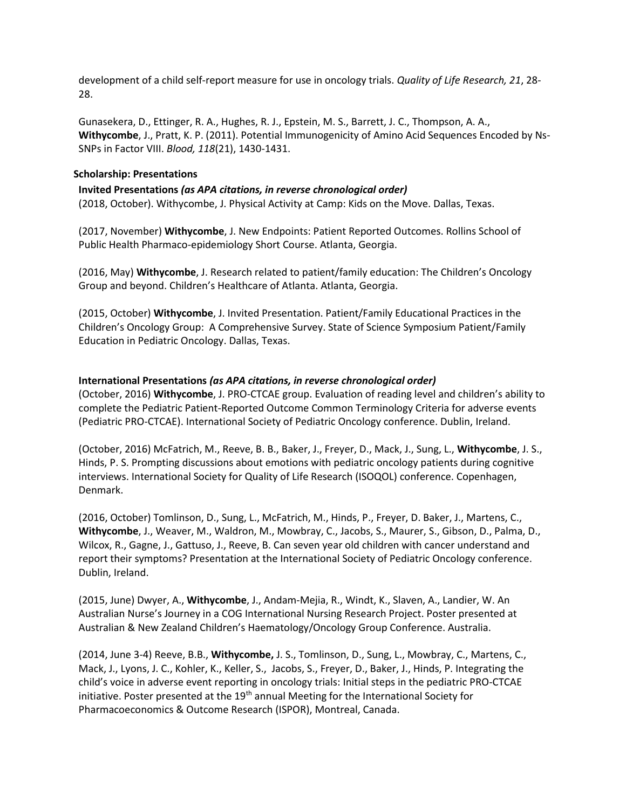development of a child self-report measure for use in oncology trials. *Quality of Life Research, 21*, 28- 28.

Gunasekera, D., Ettinger, R. A., Hughes, R. J., Epstein, M. S., Barrett, J. C., Thompson, A. A., **Withycombe**, J., Pratt, K. P. (2011). Potential Immunogenicity of Amino Acid Sequences Encoded by Ns-SNPs in Factor VIII. *Blood, 118*(21), 1430-1431.

#### **Scholarship: Presentations**

**Invited Presentations** *(as APA citations, in reverse chronological order)* (2018, October). Withycombe, J. Physical Activity at Camp: Kids on the Move. Dallas, Texas.

(2017, November) **Withycombe**, J. New Endpoints: Patient Reported Outcomes. Rollins School of Public Health Pharmaco-epidemiology Short Course. Atlanta, Georgia.

(2016, May) **Withycombe**, J. Research related to patient/family education: The Children's Oncology Group and beyond. Children's Healthcare of Atlanta. Atlanta, Georgia.

(2015, October) **Withycombe**, J. Invited Presentation. Patient/Family Educational Practices in the Children's Oncology Group: A Comprehensive Survey. State of Science Symposium Patient/Family Education in Pediatric Oncology. Dallas, Texas.

### **International Presentations** *(as APA citations, in reverse chronological order)*

(October, 2016) **Withycombe**, J. PRO-CTCAE group. Evaluation of reading level and children's ability to complete the Pediatric Patient-Reported Outcome Common Terminology Criteria for adverse events (Pediatric PRO-CTCAE). International Society of Pediatric Oncology conference. Dublin, Ireland.

(October, 2016) McFatrich, M., Reeve, B. B., Baker, J., Freyer, D., Mack, J., Sung, L., **Withycombe**, J. S., Hinds, P. S. Prompting discussions about emotions with pediatric oncology patients during cognitive interviews. International Society for Quality of Life Research (ISOQOL) conference. Copenhagen, Denmark.

(2016, October) Tomlinson, D., Sung, L., McFatrich, M., Hinds, P., Freyer, D. Baker, J., Martens, C., **Withycombe**, J., Weaver, M., Waldron, M., Mowbray, C., Jacobs, S., Maurer, S., Gibson, D., Palma, D., Wilcox, R., Gagne, J., Gattuso, J., Reeve, B. Can seven year old children with cancer understand and report their symptoms? Presentation at the International Society of Pediatric Oncology conference. Dublin, Ireland.

(2015, June) Dwyer, A., **Withycombe**, J., Andam-Mejia, R., Windt, K., Slaven, A., Landier, W. An Australian Nurse's Journey in a COG International Nursing Research Project. Poster presented at Australian & New Zealand Children's Haematology/Oncology Group Conference. Australia.

(2014, June 3-4) Reeve, B.B., **Withycombe,** J. S., Tomlinson, D., Sung, L., Mowbray, C., Martens, C., Mack, J., Lyons, J. C., Kohler, K., Keller, S., Jacobs, S., Freyer, D., Baker, J., Hinds, P. Integrating the child's voice in adverse event reporting in oncology trials: Initial steps in the pediatric PRO-CTCAE initiative. Poster presented at the 19<sup>th</sup> annual Meeting for the International Society for Pharmacoeconomics & Outcome Research (ISPOR), Montreal, Canada.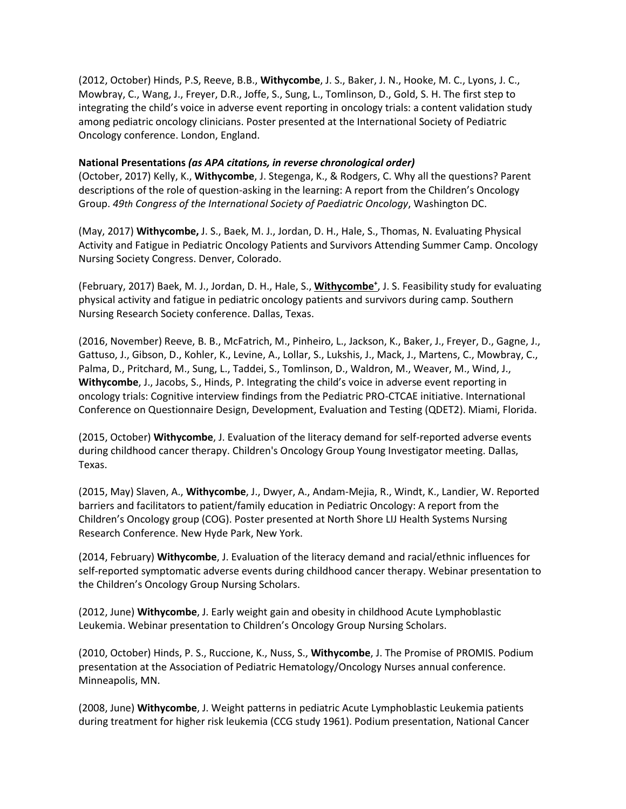(2012, October) Hinds, P.S, Reeve, B.B., **Withycombe**, J. S., Baker, J. N., Hooke, M. C., Lyons, J. C., Mowbray, C., Wang, J., Freyer, D.R., Joffe, S., Sung, L., Tomlinson, D., Gold, S. H. The first step to integrating the child's voice in adverse event reporting in oncology trials: a content validation study among pediatric oncology clinicians. Poster presented at the International Society of Pediatric Oncology conference. London, England.

### **National Presentations** *(as APA citations, in reverse chronological order)*

(October, 2017) Kelly, K., **Withycombe**, J. Stegenga, K., & Rodgers, C. Why all the questions? Parent descriptions of the role of question-asking in the learning: A report from the Children's Oncology Group. *49th Congress of the International Society of Paediatric Oncology*, Washington DC.

(May, 2017) **Withycombe,** J. S., Baek, M. J., Jordan, D. H., Hale, S., Thomas, N. Evaluating Physical Activity and Fatigue in Pediatric Oncology Patients and Survivors Attending Summer Camp. Oncology Nursing Society Congress. Denver, Colorado.

(February, 2017) Baek, M. J., Jordan, D. H., Hale, S., **Withycombe<sup>+</sup>** , J. S. Feasibility study for evaluating physical activity and fatigue in pediatric oncology patients and survivors during camp. Southern Nursing Research Society conference. Dallas, Texas.

(2016, November) Reeve, B. B., McFatrich, M., Pinheiro, L., Jackson, K., Baker, J., Freyer, D., Gagne, J., Gattuso, J., Gibson, D., Kohler, K., Levine, A., Lollar, S., Lukshis, J., Mack, J., Martens, C., Mowbray, C., Palma, D., Pritchard, M., Sung, L., Taddei, S., Tomlinson, D., Waldron, M., Weaver, M., Wind, J., **Withycombe**, J., Jacobs, S., Hinds, P. Integrating the child's voice in adverse event reporting in oncology trials: Cognitive interview findings from the Pediatric PRO-CTCAE initiative. International Conference on Questionnaire Design, Development, Evaluation and Testing (QDET2). Miami, Florida.

(2015, October) **Withycombe**, J. Evaluation of the literacy demand for self-reported adverse events during childhood cancer therapy. Children's Oncology Group Young Investigator meeting. Dallas, Texas.

(2015, May) Slaven, A., **Withycombe**, J., Dwyer, A., Andam-Mejia, R., Windt, K., Landier, W. Reported barriers and facilitators to patient/family education in Pediatric Oncology: A report from the Children's Oncology group (COG). Poster presented at North Shore LIJ Health Systems Nursing Research Conference. New Hyde Park, New York.

(2014, February) **Withycombe**, J. Evaluation of the literacy demand and racial/ethnic influences for self-reported symptomatic adverse events during childhood cancer therapy. Webinar presentation to the Children's Oncology Group Nursing Scholars.

(2012, June) **Withycombe**, J. Early weight gain and obesity in childhood Acute Lymphoblastic Leukemia. Webinar presentation to Children's Oncology Group Nursing Scholars.

(2010, October) Hinds, P. S., Ruccione, K., Nuss, S., **Withycombe**, J. The Promise of PROMIS. Podium presentation at the Association of Pediatric Hematology/Oncology Nurses annual conference. Minneapolis, MN.

(2008, June) **Withycombe**, J. Weight patterns in pediatric Acute Lymphoblastic Leukemia patients during treatment for higher risk leukemia (CCG study 1961). Podium presentation, National Cancer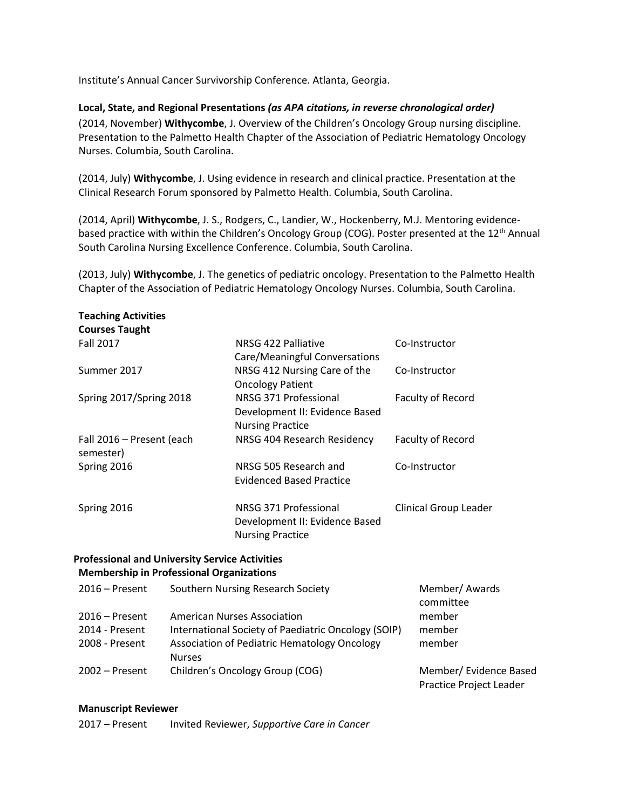Institute's Annual Cancer Survivorship Conference. Atlanta, Georgia.

#### **Local, State, and Regional Presentations** *(as APA citations, in reverse chronological order)*

(2014, November) **Withycombe**, J. Overview of the Children's Oncology Group nursing discipline. Presentation to the Palmetto Health Chapter of the Association of Pediatric Hematology Oncology Nurses. Columbia, South Carolina.

(2014, July) **Withycombe**, J. Using evidence in research and clinical practice. Presentation at the Clinical Research Forum sponsored by Palmetto Health. Columbia, South Carolina.

(2014, April) **Withycombe**, J. S., Rodgers, C., Landier, W., Hockenberry, M.J. Mentoring evidencebased practice with within the Children's Oncology Group (COG). Poster presented at the 12<sup>th</sup> Annual South Carolina Nursing Excellence Conference. Columbia, South Carolina.

(2013, July) **Withycombe**, J. The genetics of pediatric oncology. Presentation to the Palmetto Health Chapter of the Association of Pediatric Hematology Oncology Nurses. Columbia, South Carolina.

| <b>Teaching Activities</b><br><b>Courses Taught</b>   |               |                                                     |                              |
|-------------------------------------------------------|---------------|-----------------------------------------------------|------------------------------|
| <b>Fall 2017</b>                                      |               | NRSG 422 Palliative                                 | Co-Instructor                |
|                                                       |               | Care/Meaningful Conversations                       |                              |
| Summer 2017                                           |               | NRSG 412 Nursing Care of the                        | Co-Instructor                |
|                                                       |               | <b>Oncology Patient</b>                             |                              |
| Spring 2017/Spring 2018                               |               | NRSG 371 Professional                               | Faculty of Record            |
|                                                       |               | Development II: Evidence Based                      |                              |
|                                                       |               | <b>Nursing Practice</b>                             |                              |
| Fall 2016 - Present (each                             |               | NRSG 404 Research Residency                         | Faculty of Record            |
| semester)                                             |               |                                                     |                              |
| Spring 2016                                           |               | NRSG 505 Research and                               | Co-Instructor                |
|                                                       |               | <b>Evidenced Based Practice</b>                     |                              |
| Spring 2016                                           |               | NRSG 371 Professional                               | <b>Clinical Group Leader</b> |
|                                                       |               | Development II: Evidence Based                      |                              |
|                                                       |               | <b>Nursing Practice</b>                             |                              |
|                                                       |               |                                                     |                              |
| <b>Professional and University Service Activities</b> |               |                                                     |                              |
| <b>Membership in Professional Organizations</b>       |               |                                                     |                              |
| $2016$ – Present                                      |               | Southern Nursing Research Society                   | Member/ Awards               |
|                                                       |               |                                                     | committee                    |
| $2016$ – Present                                      |               | <b>American Nurses Association</b>                  | member                       |
| 2014 - Present                                        |               | International Society of Paediatric Oncology (SOIP) | member                       |
| 2008 - Present                                        | <b>Nurses</b> | Association of Pediatric Hematology Oncology        | member                       |
| $2002 -$ Present                                      |               | Children's Oncology Group (COG)                     | Member/ Evidence Based       |

Practice Project Leader

#### **Manuscript Reviewer**

2017 – Present Invited Reviewer, *Supportive Care in Cancer*